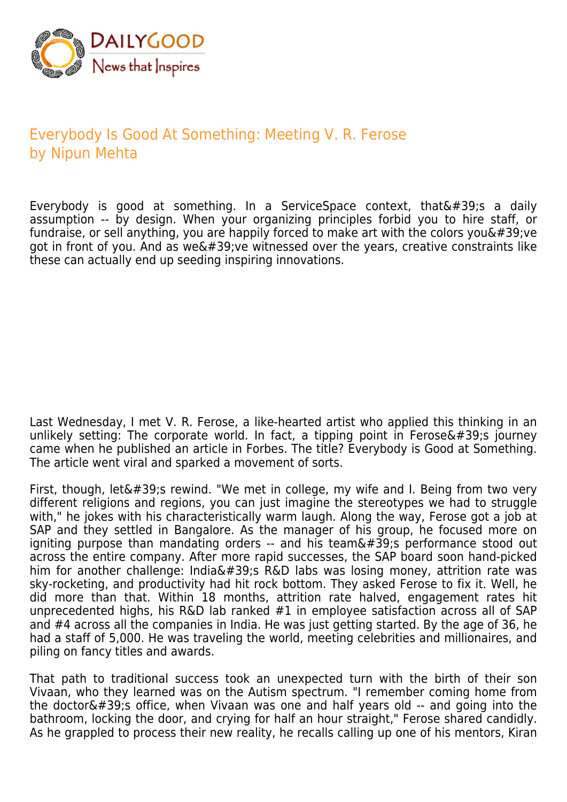

## Everybody Is Good At Something: Meeting V. R. Ferose by Nipun Mehta

Everybody is good at something. In a ServiceSpace context, that $&\#39$ ; a daily assumption -- by design. When your organizing principles forbid you to hire staff, or fundraise, or sell anything, you are happily forced to make art with the colors you  $\&\#39$ ; ve got in front of you. And as we  $\&\#39$ ; ve witnessed over the years, creative constraints like these can actually end up seeding inspiring innovations.

Last Wednesday, I met V. R. Ferose, a like-hearted artist who applied this thinking in an unlikely setting: The corporate world. In fact, a tipping point in Ferose's journey came when he published an article in Forbes. The title? Everybody is Good at Something. The article went viral and sparked a movement of sorts.

First, though, let' rewind. "We met in college, my wife and I. Being from two very different religions and regions, you can just imagine the stereotypes we had to struggle with," he jokes with his characteristically warm laugh. Along the way, Ferose got a job at SAP and they settled in Bangalore. As the manager of his group, he focused more on igniting purpose than mandating orders  $-$  and his team's performance stood out across the entire company. After more rapid successes, the SAP board soon hand-picked him for another challenge: India's R&D labs was losing money, attrition rate was sky-rocketing, and productivity had hit rock bottom. They asked Ferose to fix it. Well, he did more than that. Within 18 months, attrition rate halved, engagement rates hit unprecedented highs, his R&D lab ranked #1 in employee satisfaction across all of SAP and #4 across all the companies in India. He was just getting started. By the age of 36, he had a staff of 5,000. He was traveling the world, meeting celebrities and millionaires, and piling on fancy titles and awards.

That path to traditional success took an unexpected turn with the birth of their son Vivaan, who they learned was on the Autism spectrum. "I remember coming home from the doctor $'$ ; office, when Vivaan was one and half years old -- and going into the bathroom, locking the door, and crying for half an hour straight," Ferose shared candidly. As he grappled to process their new reality, he recalls calling up one of his mentors, Kiran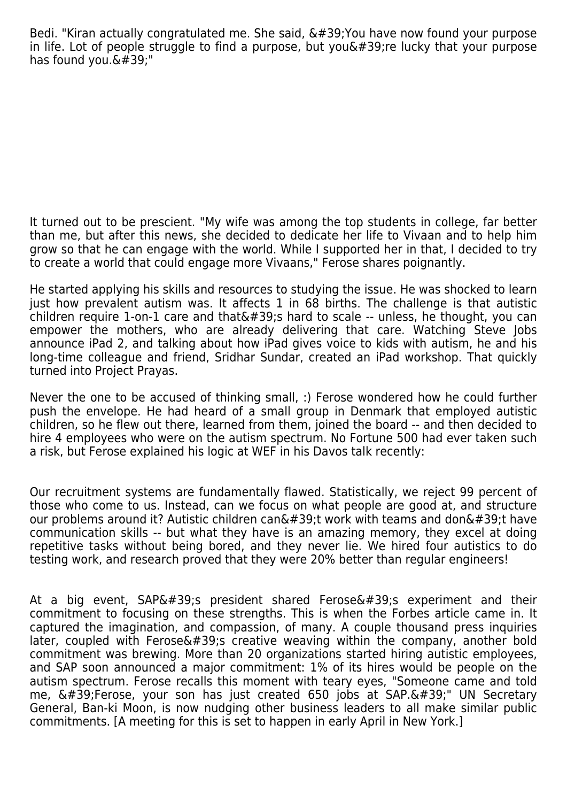Bedi. "Kiran actually congratulated me. She said,  $\&\#39$ ; You have now found your purpose in life. Lot of people struggle to find a purpose, but you  $439$ ; re lucky that your purpose has found you. $\&\#39$ :"

It turned out to be prescient. "My wife was among the top students in college, far better than me, but after this news, she decided to dedicate her life to Vivaan and to help him grow so that he can engage with the world. While I supported her in that, I decided to try to create a world that could engage more Vivaans," Ferose shares poignantly.

He started applying his skills and resources to studying the issue. He was shocked to learn just how prevalent autism was. It affects 1 in 68 births. The challenge is that autistic children require 1-on-1 care and that  $439$ ; hard to scale -- unless, he thought, you can empower the mothers, who are already delivering that care. Watching Steve Jobs announce iPad 2, and talking about how iPad gives voice to kids with autism, he and his long-time colleague and friend, Sridhar Sundar, created an iPad workshop. That quickly turned into Project Prayas.

Never the one to be accused of thinking small, :) Ferose wondered how he could further push the envelope. He had heard of a small group in Denmark that employed autistic children, so he flew out there, learned from them, joined the board -- and then decided to hire 4 employees who were on the autism spectrum. No Fortune 500 had ever taken such a risk, but Ferose explained his logic at WEF in his Davos talk recently:

Our recruitment systems are fundamentally flawed. Statistically, we reject 99 percent of those who come to us. Instead, can we focus on what people are good at, and structure our problems around it? Autistic children can $\&\#39$ ;t work with teams and don $\&\#39$ ;t have communication skills -- but what they have is an amazing memory, they excel at doing repetitive tasks without being bored, and they never lie. We hired four autistics to do testing work, and research proved that they were 20% better than regular engineers!

At a big event,  $SAP& #39$ ; president shared Ferose $& #39$ ; experiment and their commitment to focusing on these strengths. This is when the Forbes article came in. It captured the imagination, and compassion, of many. A couple thousand press inquiries later, coupled with Ferose  $\&\#39$ ; creative weaving within the company, another bold commitment was brewing. More than 20 organizations started hiring autistic employees, and SAP soon announced a major commitment: 1% of its hires would be people on the autism spectrum. Ferose recalls this moment with teary eyes, "Someone came and told me,  $\&\#39$ ; Ferose, your son has just created 650 jobs at SAP. $\&\#39$ ;" UN Secretary General, Ban-ki Moon, is now nudging other business leaders to all make similar public commitments. [A meeting for this is set to happen in early April in New York.]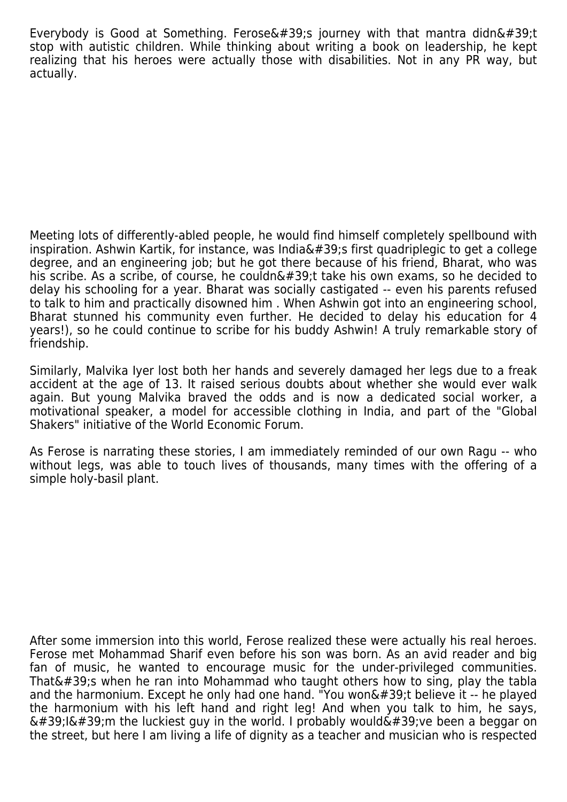Everybody is Good at Something. Ferose $\&\#39$ ; journey with that mantra didn $&\#39$ ;t stop with autistic children. While thinking about writing a book on leadership, he kept realizing that his heroes were actually those with disabilities. Not in any PR way, but actually.

Meeting lots of differently-abled people, he would find himself completely spellbound with inspiration. Ashwin Kartik, for instance, was India $\&\#39$ ; first quadriplegic to get a college degree, and an engineering job; but he got there because of his friend, Bharat, who was his scribe. As a scribe, of course, he couldn $\&\#39$ ; ttake his own exams, so he decided to delay his schooling for a year. Bharat was socially castigated -- even his parents refused to talk to him and practically disowned him . When Ashwin got into an engineering school, Bharat stunned his community even further. He decided to delay his education for 4 years!), so he could continue to scribe for his buddy Ashwin! A truly remarkable story of friendship.

Similarly, Malvika Iyer lost both her hands and severely damaged her legs due to a freak accident at the age of 13. It raised serious doubts about whether she would ever walk again. But young Malvika braved the odds and is now a dedicated social worker, a motivational speaker, a model for accessible clothing in India, and part of the "Global Shakers" initiative of the World Economic Forum.

As Ferose is narrating these stories, I am immediately reminded of our own Ragu -- who without legs, was able to touch lives of thousands, many times with the offering of a simple holy-basil plant.

After some immersion into this world, Ferose realized these were actually his real heroes. Ferose met Mohammad Sharif even before his son was born. As an avid reader and big fan of music, he wanted to encourage music for the under-privileged communities. That $&\#39$ ; when he ran into Mohammad who taught others how to sing, play the tabla and the harmonium. Except he only had one hand. "You won't believe it  $-$  he played the harmonium with his left hand and right leg! And when you talk to him, he says,  $' I' m$  the luckiest guy in the world. I probably would  $'ve$  been a beggar on the street, but here I am living a life of dignity as a teacher and musician who is respected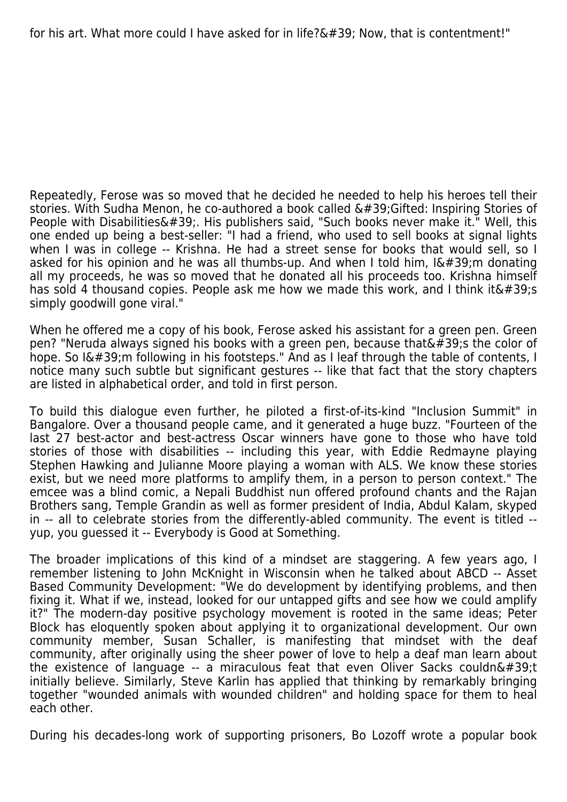Repeatedly, Ferose was so moved that he decided he needed to help his heroes tell their stories. With Sudha Menon, he co-authored a book called  $&\#39$ ; Gifted: Inspiring Stories of People with Disabilities'. His publishers said, "Such books never make it." Well, this one ended up being a best-seller: "I had a friend, who used to sell books at signal lights when I was in college -- Krishna. He had a street sense for books that would sell, so I asked for his opinion and he was all thumbs-up. And when I told him,  $I\&\#39$ ;m donating all my proceeds, he was so moved that he donated all his proceeds too. Krishna himself has sold 4 thousand copies. People ask me how we made this work, and I think it  $\&\#39$ ; s simply goodwill gone viral."

When he offered me a copy of his book. Ferose asked his assistant for a green pen. Green pen? "Neruda always signed his books with a green pen, because that  $\&\#39$ ; the color of hope. So I' m following in his footsteps." And as I leaf through the table of contents, I notice many such subtle but significant gestures -- like that fact that the story chapters are listed in alphabetical order, and told in first person.

To build this dialogue even further, he piloted a first-of-its-kind "Inclusion Summit" in Bangalore. Over a thousand people came, and it generated a huge buzz. "Fourteen of the last 27 best-actor and best-actress Oscar winners have gone to those who have told stories of those with disabilities -- including this year, with Eddie Redmayne playing Stephen Hawking and Julianne Moore playing a woman with ALS. We know these stories exist, but we need more platforms to amplify them, in a person to person context." The emcee was a blind comic, a Nepali Buddhist nun offered profound chants and the Rajan Brothers sang, Temple Grandin as well as former president of India, Abdul Kalam, skyped in -- all to celebrate stories from the differently-abled community. The event is titled - yup, you guessed it -- Everybody is Good at Something.

The broader implications of this kind of a mindset are staggering. A few years ago, I remember listening to John McKnight in Wisconsin when he talked about ABCD -- Asset Based Community Development: "We do development by identifying problems, and then fixing it. What if we, instead, looked for our untapped gifts and see how we could amplify it?" The modern-day positive psychology movement is rooted in the same ideas; Peter Block has eloquently spoken about applying it to organizational development. Our own community member, Susan Schaller, is manifesting that mindset with the deaf community, after originally using the sheer power of love to help a deaf man learn about the existence of language  $-$  a miraculous feat that even Oliver Sacks couldn $\&\#39$ ;t initially believe. Similarly, Steve Karlin has applied that thinking by remarkably bringing together "wounded animals with wounded children" and holding space for them to heal each other.

During his decades-long work of supporting prisoners, Bo Lozoff wrote a popular book